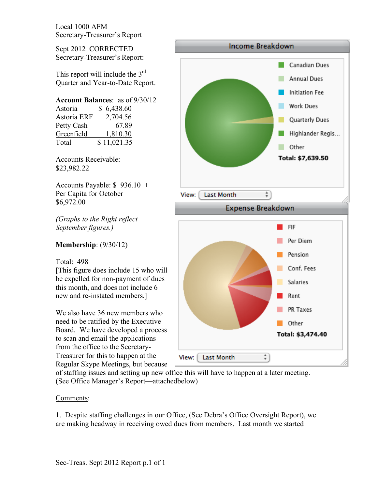Sept 2012 CORRECTED Secretary-Treasurer's Report:

This report will include the  $3<sup>rd</sup>$ Quarter and Year-to-Date Report.

# **Account Balances**: as of 9/30/12

| Astoria     | \$6,438.60  |
|-------------|-------------|
| Astoria ERF | 2,704.56    |
| Petty Cash  | 67.89       |
| Greenfield  | 1,810.30    |
| Total       | \$11,021.35 |

Accounts Receivable: \$23,982.22

Accounts Payable: \$ 936.10 + Per Capita for October \$6,972.00

*(Graphs to the Right reflect September figures.)*

## **Membership**: (9/30/12)

### Total: 498

[This figure does include 15 who will be expelled for non-payment of dues this month, and does not include 6 new and re-instated members.]

We also have 36 new members who need to be ratified by the Executive Board. We have developed a process to scan and email the applications from the office to the Secretary-Treasurer for this to happen at the Regular Skype Meetings, but because



of staffing issues and setting up new office this will have to happen at a later meeting. (See Office Manager's Report—attachedbelow)

### Comments:

1. Despite staffing challenges in our Office, (See Debra's Office Oversight Report), we are making headway in receiving owed dues from members. Last month we started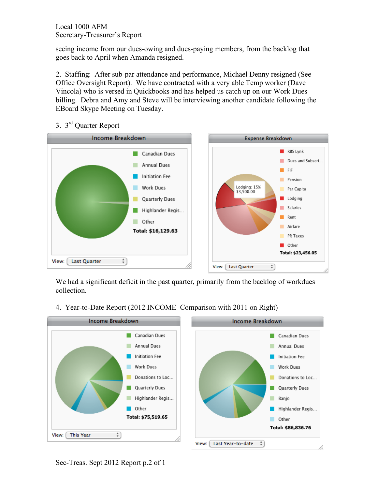seeing income from our dues-owing and dues-paying members, from the backlog that goes back to April when Amanda resigned.

2. Staffing: After sub-par attendance and performance, Michael Denny resigned (See Office Oversight Report). We have contracted with a very able Temp worker (Dave Vincola) who is versed in Quickbooks and has helped us catch up on our Work Dues billing. Debra and Amy and Steve will be interviewing another candidate following the EBoard Skype Meeting on Tuesday.

# 3. 3rd Quarter Report



We had a significant deficit in the past quarter, primarily from the backlog of workdues collection.

4. Year-to-Date Report (2012 INCOME Comparison with 2011 on Right)

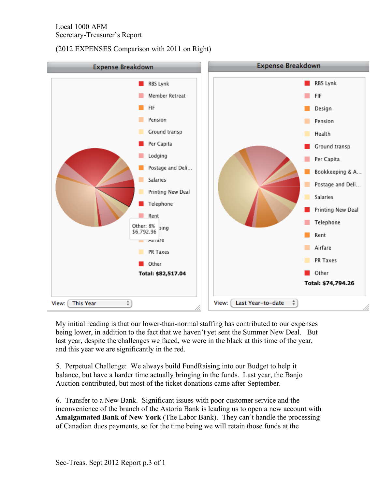(2012 EXPENSES Comparison with 2011 on Right)



My initial reading is that our lower-than-normal staffing has contributed to our expenses being lower, in addition to the fact that we haven't yet sent the Summer New Deal. But last year, despite the challenges we faced, we were in the black at this time of the year, and this year we are significantly in the red.

5. Perpetual Challenge: We always build FundRaising into our Budget to help it balance, but have a harder time actually bringing in the funds. Last year, the Banjo Auction contributed, but most of the ticket donations came after September.

6. Transfer to a New Bank. Significant issues with poor customer service and the inconvenience of the branch of the Astoria Bank is leading us to open a new account with **Amalgamated Bank of New York** (The Labor Bank). They can't handle the processing of Canadian dues payments, so for the time being we will retain those funds at the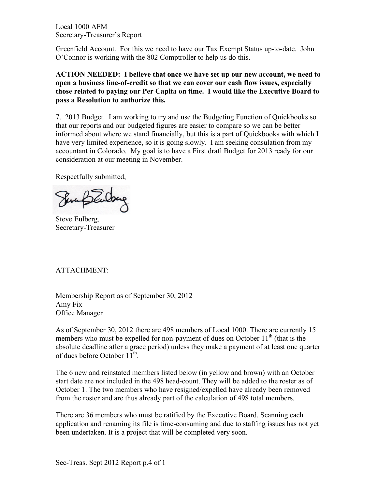Greenfield Account. For this we need to have our Tax Exempt Status up-to-date. John O'Connor is working with the 802 Comptroller to help us do this.

**ACTION NEEDED: I believe that once we have set up our new account, we need to open a business line-of-credit so that we can cover our cash flow issues, especially those related to paying our Per Capita on time. I would like the Executive Board to pass a Resolution to authorize this.**

7. 2013 Budget. I am working to try and use the Budgeting Function of Quickbooks so that our reports and our budgeted figures are easier to compare so we can be better informed about where we stand financially, but this is a part of Quickbooks with which I have very limited experience, so it is going slowly. I am seeking consulation from my accountant in Colorado. My goal is to have a First draft Budget for 2013 ready for our consideration at our meeting in November.

Respectfully submitted,

Senablardon

Steve Eulberg, Secretary-Treasurer

## ATTACHMENT:

Membership Report as of September 30, 2012 Amy Fix Office Manager

As of September 30, 2012 there are 498 members of Local 1000. There are currently 15 members who must be expelled for non-payment of dues on October  $11<sup>th</sup>$  (that is the absolute deadline after a grace period) unless they make a payment of at least one quarter of dues before October  $11<sup>th</sup>$ .

The 6 new and reinstated members listed below (in yellow and brown) with an October start date are not included in the 498 head-count. They will be added to the roster as of October 1. The two members who have resigned/expelled have already been removed from the roster and are thus already part of the calculation of 498 total members.

There are 36 members who must be ratified by the Executive Board. Scanning each application and renaming its file is time-consuming and due to staffing issues has not yet been undertaken. It is a project that will be completed very soon.